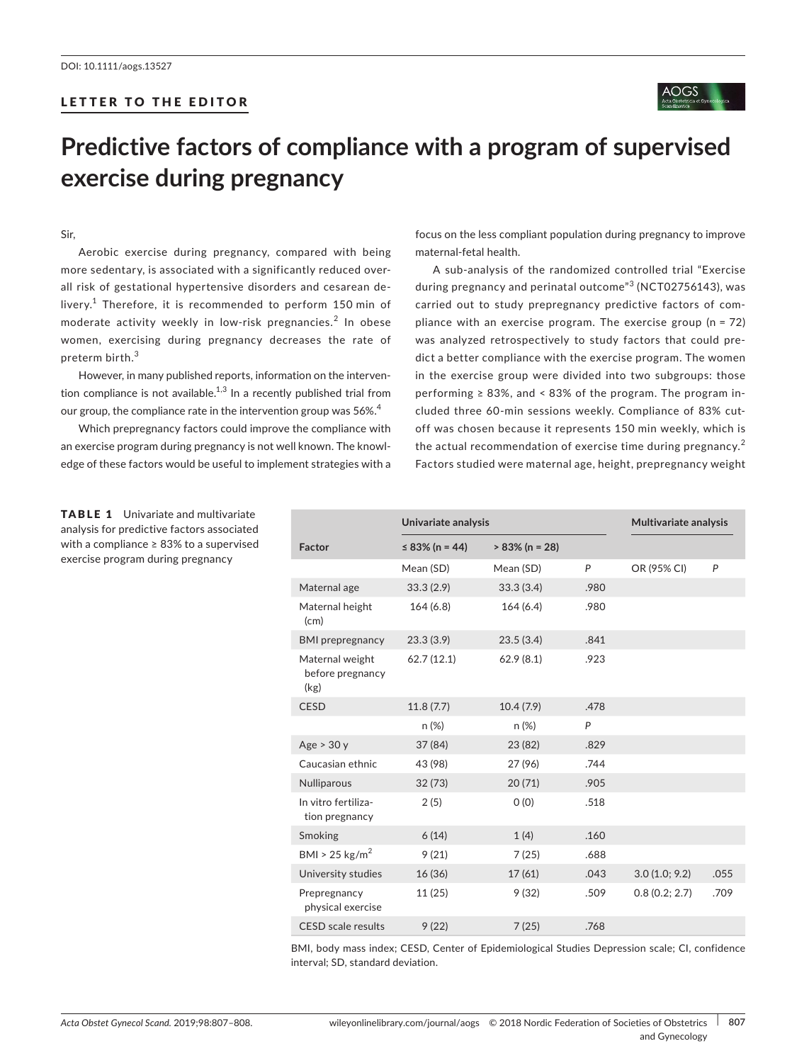## LETTER TO THE EDITOR



# **Predictive factors of compliance with a program of supervised exercise during pregnancy**

### Sir,

Aerobic exercise during pregnancy, compared with being more sedentary, is associated with a significantly reduced overall risk of gestational hypertensive disorders and cesarean de‐ livery.<sup>1</sup> Therefore, it is recommended to perform 150 min of moderate activity weekly in low-risk pregnancies.<sup>2</sup> In obese women, exercising during pregnancy decreases the rate of preterm birth.<sup>3</sup>

However, in many published reports, information on the interven‐ tion compliance is not available.<sup>1,3</sup> In a recently published trial from our group, the compliance rate in the intervention group was 56%.<sup>4</sup>

Which prepregnancy factors could improve the compliance with an exercise program during pregnancy is not well known. The knowl‐ edge of these factors would be useful to implement strategies with a

focus on the less compliant population during pregnancy to improve maternal‐fetal health.

A sub‐analysis of the randomized controlled trial "Exercise during pregnancy and perinatal outcome"<sup>3</sup> (NCT02756143), was carried out to study prepregnancy predictive factors of com‐ pliance with an exercise program. The exercise group (n = 72) was analyzed retrospectively to study factors that could pre‐ dict a better compliance with the exercise program. The women in the exercise group were divided into two subgroups: those performing  $\geq 83\%$ , and < 83% of the program. The program included three 60‐min sessions weekly. Compliance of 83% cut‐ off was chosen because it represents 150 min weekly, which is the actual recommendation of exercise time during pregnancy.<sup>2</sup> Factors studied were maternal age, height, prepregnancy weight

|                                             | Univariate analysis |                   |      | Multivariate analysis |      |
|---------------------------------------------|---------------------|-------------------|------|-----------------------|------|
| Factor                                      | $\leq$ 83% (n = 44) | $> 83\%$ (n = 28) |      |                       |      |
|                                             | Mean (SD)           | Mean (SD)         | P    | OR (95% CI)           | P    |
| Maternal age                                | 33.3(2.9)           | 33.3(3.4)         | .980 |                       |      |
| Maternal height<br>(cm)                     | 164(6.8)            | 164(6.4)          | .980 |                       |      |
| <b>BMI</b> prepregnancy                     | 23.3(3.9)           | 23.5(3.4)         | .841 |                       |      |
| Maternal weight<br>before pregnancy<br>(kg) | 62.7(12.1)          | 62.9(8.1)         | .923 |                       |      |
| <b>CESD</b>                                 | 11.8(7.7)           | 10.4(7.9)         | .478 |                       |      |
|                                             | n (%)               | $n (\%)$          | P    |                       |      |
| Age > 30y                                   | 37 (84)             | 23 (82)           | .829 |                       |      |
| Caucasian ethnic                            | 43 (98)             | 27 (96)           | .744 |                       |      |
| <b>Nulliparous</b>                          | 32(73)              | 20(71)            | .905 |                       |      |
| In vitro fertiliza-<br>tion pregnancy       | 2(5)                | O(0)              | .518 |                       |      |
| Smoking                                     | 6(14)               | 1(4)              | .160 |                       |      |
| BMI > 25 kg/m <sup>2</sup>                  | 9(21)               | 7(25)             | .688 |                       |      |
| University studies                          | 16(36)              | 17(61)            | .043 | 3.0(1.0; 9.2)         | .055 |
| Prepregnancy<br>physical exercise           | 11(25)              | 9(32)             | .509 | 0.8(0.2; 2.7)         | .709 |
| <b>CESD</b> scale results                   | 9(22)               | 7(25)             | .768 |                       |      |

BMI, body mass index; CESD, Center of Epidemiological Studies Depression scale; CI, confidence interval; SD, standard deviation.

## **TABLE 1** Univariate and multivariate analysis for predictive factors associated with a compliance ≥ 83% to a supervised exercise program during pregnancy